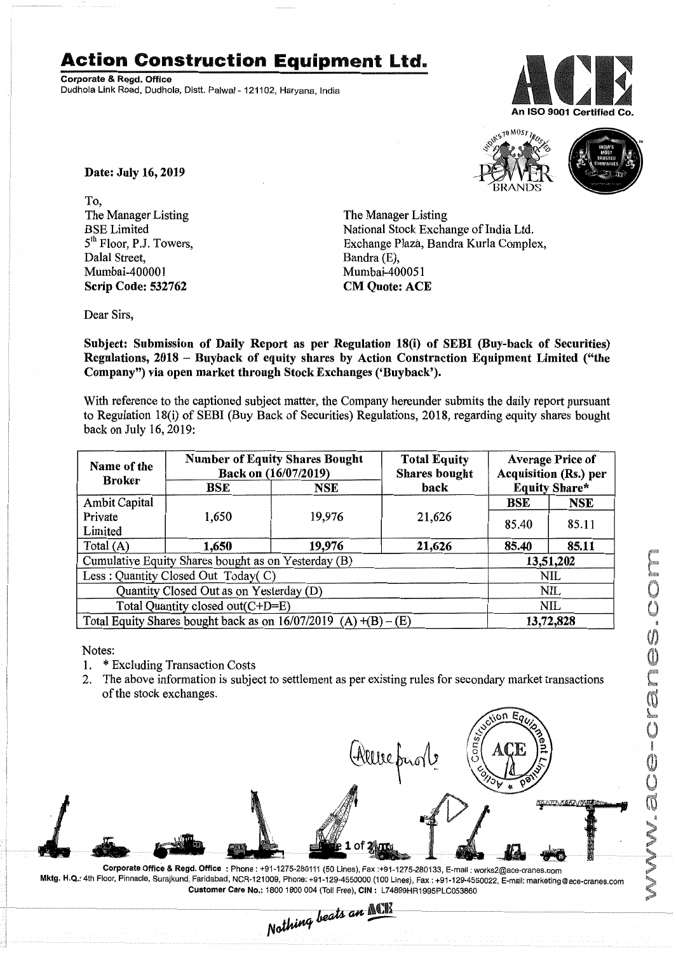## **Action Construction Equipment Ltd.**

Corporate & Regd. Office Dudhola Link Road, Dudhola, Distt, Palwal - 121102, Haryana, India





Date: July 16,2019

To, The Manager Listing BSE Limited 5<sup>th</sup> Floor, P.J. Towers, Dalal Street, Mumbai-400001 Scrip Code: 532762

The Manager Listing National Stock Exchange of India Ltd. Exchange Plaza, Bandra Kurla Complex, Bandra (E), Mumbai-400051 CM Quote: ACE

Dear Sirs,

Subject: Submission of Daily Report as per Regulation 18(i) of SEBI (Buy-back of Securities) Regulations, 2018 - Buyback of equity shares by Action Construction Equipment Limited ("the Company") via open market through Stock Exchanges ('Buyback').

With reference to the captioned subject matter, the Company hereunder submits the daily report pursuant to Regulation 18(i) of SEBI (Buy Back of Securities) Regulations, 2018, regarding equity shares bought back on July 16,2019:

| Name of the<br><b>Broker</b>                                      | <b>Number of Equity Shares Bought</b><br>Back on (16/07/2019) |        | <b>Total Equity</b><br><b>Shares bought</b> | <b>Average Price of</b><br>Acquisition (Rs.) per |            |  |
|-------------------------------------------------------------------|---------------------------------------------------------------|--------|---------------------------------------------|--------------------------------------------------|------------|--|
|                                                                   | BSE                                                           | NSE    | back                                        | <b>Equity Share*</b>                             |            |  |
| <b>Ambit Capital</b>                                              |                                                               |        |                                             | <b>BSE</b>                                       | <b>NSE</b> |  |
| Private                                                           | 1,650                                                         | 19,976 | 21,626                                      | 85.40                                            | 85.11      |  |
| Limited                                                           |                                                               |        |                                             |                                                  |            |  |
| Total (A)                                                         | 1,650                                                         | 19,976 | 21,626                                      | 85.40                                            | 85.11      |  |
| Cumulative Equity Shares bought as on Yesterday (B)               |                                                               |        |                                             |                                                  | 13,51,202  |  |
| Less: Quantity Closed Out Today(C)                                |                                                               |        |                                             | <b>NIL</b>                                       |            |  |
| Quantity Closed Out as on Yesterday (D)                           |                                                               |        |                                             |                                                  | NIL        |  |
| Total Quantity closed out(C+D=E)                                  |                                                               |        |                                             |                                                  | NIL        |  |
| Total Equity Shares bought back as on $16/07/2019$ (A) +(B) – (E) |                                                               |        |                                             | 13,72,828                                        |            |  |

Notes:

- 1. \* Excluding Transaction Costs
- 2. The above information is subject to settlement as per existing rules for secondary market transactions of the stock exchanges.



Corporate Office & Regd. Office: Phone: +91-1275-280111 (50 Lines), Fax:+91-1275-280133, E-mail: works2@ace-cranes.com Mktg. H.Q.: 4th Floor,Pinnacle, Surajkund, Faridabad, NCR-121009, Phone: +91-129-4550000 (100 Lines), Fax: +91-129-4550022, E-mail:marketing@ace-cranes.com Customer Care No.: 1800 1800004 (Toll Free), CIN: L74899HR1995PLC053860